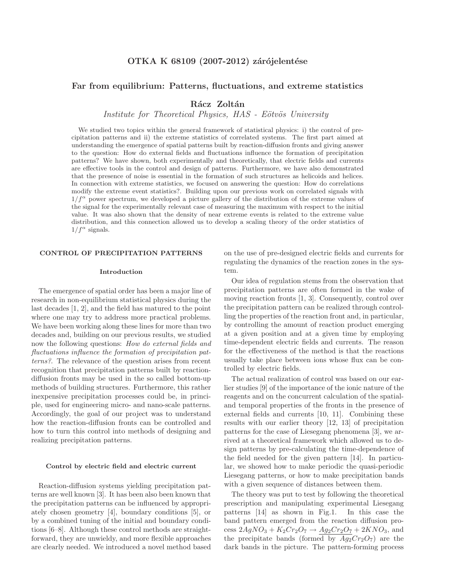# Far from equilibrium: Patterns, fluctuations, and extreme statistics

Rácz Zoltán

Institute for Theoretical Physics, HAS - Eötvös University

We studied two topics within the general framework of statistical physics: i) the control of precipitation patterns and ii) the extreme statistics of correlated systems. The first part aimed at understanding the emergence of spatial patterns built by reaction-diffusion fronts and giving answer to the question: How do external fields and fluctuations influence the formation of precipitation patterns? We have shown, both experimentally and theoretically, that electric fields and currents are effective tools in the control and design of patterns. Furthermore, we have also demonstrated that the presence of noise is essential in the formation of such structures as helicoids and helices. In connection with extreme statistics, we focused on answering the question: How do correlations modify the extreme event statistics?. Building upon our previous work on correlated signals with  $1/f^{\alpha}$  power spectrum, we developed a picture gallery of the distribution of the extreme values of the signal for the experimentally relevant case of measuring the maximum with respect to the initial value. It was also shown that the density of near extreme events is related to the extreme value distribution, and this connection allowed us to develop a scaling theory of the order statistics of  $1/f^{\alpha}$  signals.

## CONTROL OF PRECIPITATION PATTERNS

#### Introduction

The emergence of spatial order has been a major line of research in non-equilibrium statistical physics during the last decades [1, 2], and the field has matured to the point where one may try to address more practical problems. We have been working along these lines for more than two decades and, building on our previous results, we studied now the following questions: *How do external fields and fluctuations influence the formation of precipitation patterns?*. The relevance of the question arises from recent recognition that precipitation patterns built by reactiondiffusion fronts may be used in the so called bottom-up methods of building structures. Furthermore, this rather inexpensive precipitation processes could be, in principle, used for engineering micro- and nano-scale patterns. Accordingly, the goal of our project was to understand how the reaction-diffusion fronts can be controlled and how to turn this control into methods of designing and realizing precipitation patterns.

#### Control by electric field and electric current

Reaction-diffusion systems yielding precipitation patterns are well known [3]. It has been also been known that the precipitation patterns can be influenced by appropriately chosen geometry [4], boundary conditions [5], or by a combined tuning of the initial and boundary conditions [6–8]. Although these control methods are straightforward, they are unwieldy, and more flexible approaches are clearly needed. We introduced a novel method based on the use of pre-designed electric fields and currents for regulating the dynamics of the reaction zones in the system.

Our idea of regulation stems from the observation that precipitation patterns are often formed in the wake of moving reaction fronts [1, 3]. Consequently, control over the precipitation pattern can be realized through controlling the properties of the reaction front and, in particular, by controlling the amount of reaction product emerging at a given position and at a given time by employing time-dependent electric fields and currents. The reason for the effectiveness of the method is that the reactions usually take place between ions whose flux can be controlled by electric fields.

The actual realization of control was based on our earlier studies [9] of the importance of the ionic nature of the reagents and on the concurrent calculation of the spatialand temporal properties of the fronts in the presence of external fields and currents [10, 11]. Combining these results with our earlier theory [12, 13] of precipitation patterns for the case of Liesegang phenomena [3], we arrived at a theoretical framework which allowed us to design patterns by pre-calculating the time-dependence of the field needed for the given pattern [14]. In particular, we showed how to make periodic the quasi-periodic Liesegang patterns, or how to make precipitation bands with a given sequence of distances between them.

The theory was put to test by following the theoretical prescription and manipulating experimental Liesegang patterns [14] as shown in Fig.1. In this case the band pattern emerged from the reaction diffusion process  $2AgNO_3 + K_2Cr_2O_7 \rightarrow Ag_2Cr_2O_7 + 2KNO_3$ , and the precipitate bands (formed by  $Ag_2Cr_2O_7$ ) are the dark bands in the picture. The pattern-forming process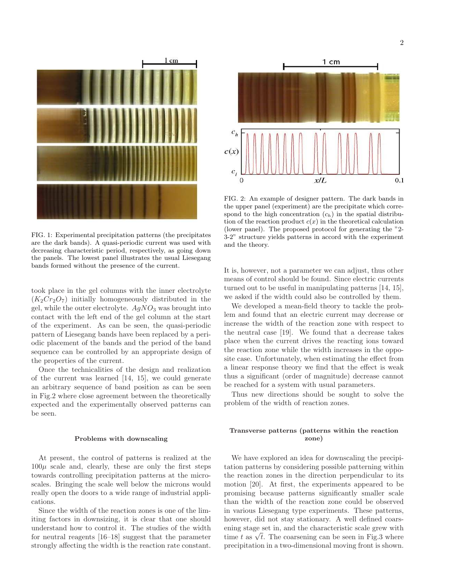

FIG. 1: Experimental precipitation patterns (the precipitates are the dark bands). A quasi-periodic current was used with decreasing characteristic period, respectively, as going down the panels. The lowest panel illustrates the usual Liesegang bands formed without the presence of the current.

took place in the gel columns with the inner electrolyte  $(K_2Cr_2O_7)$  initially homogeneously distributed in the gel, while the outer electrolyte.  $AgNO_3$  was brought into contact with the left end of the gel column at the start of the experiment. As can be seen, the quasi-periodic pattern of Liesegang bands have been replaced by a periodic placement of the bands and the period of the band sequence can be controlled by an appropriate design of the properties of the current.

Once the technicalities of the design and realization of the current was learned [14, 15], we could generate an arbitrary sequence of band position as can be seen in Fig.2 where close agreement between the theoretically expected and the experimentally observed patterns can be seen.

#### Problems with downscaling

At present, the control of patterns is realized at the  $100\mu$  scale and, clearly, these are only the first steps towards controlling precipitation patterns at the microscales. Bringing the scale well below the microns would really open the doors to a wide range of industrial applications.

Since the width of the reaction zones is one of the limiting factors in downsizing, it is clear that one should understand how to control it. The studies of the width for neutral reagents [16–18] suggest that the parameter strongly affecting the width is the reaction rate constant.



FIG. 2: An example of designer pattern. The dark bands in the upper panel (experiment) are the precipitate which correspond to the high concentration  $(c_h)$  in the spatial distribution of the reaction product  $c(x)$  in the theoretical calculation (lower panel). The proposed protocol for generating the "2- 3-2" structure yields patterns in accord with the experiment and the theory.

It is, however, not a parameter we can adjust, thus other means of control should be found. Since electric currents turned out to be useful in manipulating patterns [14, 15], we asked if the width could also be controlled by them.

We developed a mean-field theory to tackle the problem and found that an electric current may decrease or increase the width of the reaction zone with respect to the neutral case [19]. We found that a decrease takes place when the current drives the reacting ions toward the reaction zone while the width increases in the opposite case. Unfortunately, when estimating the effect from a linear response theory we find that the effect is weak thus a significant (order of magnitude) decrease cannot be reached for a system with usual parameters.

Thus new directions should be sought to solve the problem of the width of reaction zones.

# Transverse patterns (patterns within the reaction zone)

We have explored an idea for downscaling the precipitation patterns by considering possible patterning within the reaction zones in the direction perpendicular to its motion [20]. At first, the experiments appeared to be promising because patterns significantly smaller scale than the width of the reaction zone could be observed in various Liesegang type experiments. These patterns, however, did not stay stationary. A well defined coarsening stage set in, and the characteristic scale grew with time t as  $\sqrt{t}$ . The coarsening can be seen in Fig.3 where precipitation in a two-dimensional moving front is shown.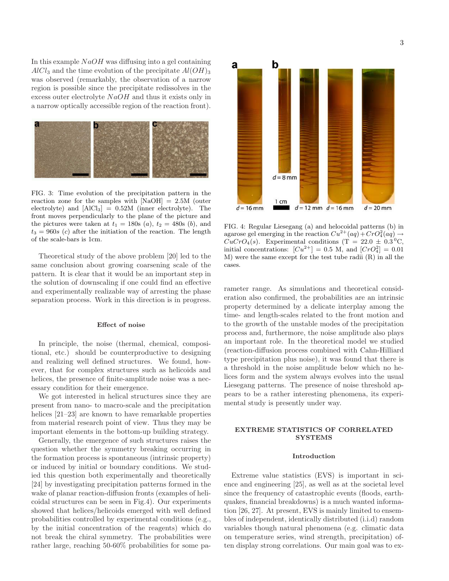In this example  $NaOH$  was diffusing into a gel containing  $AlCl<sub>3</sub>$  and the time evolution of the precipitate  $Al(OH)<sub>3</sub>$ was observed (remarkably, the observation of a narrow region is possible since the precipitate redissolves in the excess outer electrolyte  $NaOH$  and thus it exists only in a narrow optically accessible region of the reaction front).



FIG. 3: Time evolution of the precipitation pattern in the reaction zone for the samples with  $[NaOH] = 2.5M$  (outer electrolyte) and  $[AlCl<sub>3</sub>] = 0.52M$  (inner electrolyte). The front moves perpendicularly to the plane of the picture and the pictures were taken at  $t_1 = 180s$  (*a*),  $t_2 = 480s$  (*b*), and  $t_3 = 960s$  (c) after the initiation of the reaction. The length of the scale-bars is 1cm.

Theoretical study of the above problem [20] led to the same conclusion about growing coarsening scale of the pattern. It is clear that it would be an important step in the solution of downscaling if one could find an effective and experimentally realizable way of arresting the phase separation process. Work in this direction is in progress.

#### Effect of noise

In principle, the noise (thermal, chemical, compositional, etc.) should be counterproductive to designing and realizing well defined structures. We found, however, that for complex structures such as helicoids and helices, the presence of finite-amplitude noise was a necessary condition for their emergence.

We got interested in helical structures since they are present from nano- to macro-scale and the precipitation helices [21–23] are known to have remarkable properties from material research point of view. Thus they may be important elements in the bottom-up building strategy.

Generally, the emergence of such structures raises the question whether the symmetry breaking occurring in the formation process is spontaneous (intrinsic property) or induced by initial or boundary conditions. We studied this question both experimentally and theoretically [24] by investigating precipitation patterns formed in the wake of planar reaction-diffusion fronts (examples of helicoidal structures can be seen in Fig.4). Our experiments showed that helices/helicoids emerged with well defined probabilities controlled by experimental conditions (e.g., by the initial concentration of the reagents) which do not break the chiral symmetry. The probabilities were rather large, reaching 50-60% probabilities for some pa-



FIG. 4: Regular Liesegang (a) and helocoidal patterns (b) in agarose gel emerging in the reaction  $Cu^{2+}(aq) + CrO<sub>4</sub><sup>2</sup>(aq) \rightarrow$  $CuCrO<sub>4</sub>(s)$ . Experimental conditions (T = 22.0  $\pm$  0.3<sup>o</sup>C, initial concentrations:  $[Cu^{2+}] = 0.5$  M, and  $[CrO_4^2] = 0.01$ M) were the same except for the test tube radii (R) in all the cases.

rameter range. As simulations and theoretical consideration also confirmed, the probabilities are an intrinsic property determined by a delicate interplay among the time- and length-scales related to the front motion and to the growth of the unstable modes of the precipitation process and, furthermore, the noise amplitude also plays an important role. In the theoretical model we studied (reaction-diffusion process combined with Cahn-Hilliard type precipitation plus noise), it was found that there is a threshold in the noise amplitude below which no helices form and the system always evolves into the usual Liesegang patterns. The presence of noise threshold appears to be a rather interesting phenomena, its experimental study is presently under way.

## EXTREME STATISTICS OF CORRELATED **SYSTEMS**

#### Introduction

Extreme value statistics (EVS) is important in science and engineering [25], as well as at the societal level since the frequency of catastrophic events (floods, earthquakes, financial breakdowns) is a much wanted information [26, 27]. At present, EVS is mainly limited to ensembles of independent, identically distributed (i.i.d) random variables though natural phenomena (e.g. climatic data on temperature series, wind strength, precipitation) often display strong correlations. Our main goal was to ex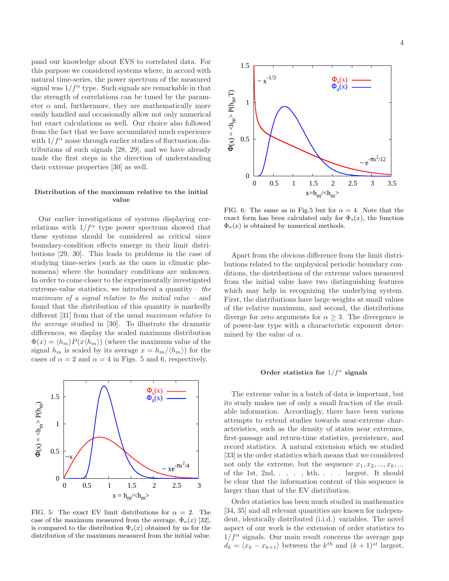pand our knowledge about EVS to correlated data. For this purpose we considered systems where, in accord with natural time-series, the power spectrum of the measured signal was  $1/f^{\alpha}$  type. Such signals are remarkable in that the strength of correlations can be tuned by the parameter  $\alpha$  and, furthermore, they are mathematically more easily handled and occasionally allow not only numerical but exact calculations as well. Our choice also followed from the fact that we have accumulated much experience with  $1/f^{\alpha}$  noise through earlier studies of fluctuation distributions of such signals [28, 29], and we have already made the first steps in the direction of understanding their extreme properties [30] as well.

## Distribution of the maximum relative to the initial value

Our earlier investigations of systems displaying correlations with  $1/f^{\alpha}$  type power spectrum showed that these systems should be considered as critical since boundary-condition effects emerge in their limit distributions [29, 30]. This leads to problems in the case of studying time-series (such as the ones in climatic phenomena) where the boundary conditions are unknown. In order to come closer to the experimentally investigated extreme-value statistics, we introduced a quantity – *the maximum of a signal relative to the initial value* – and found that the distribution of this quantity is markedly different [31] from that of the usual *maximum relative to the average* studied in [30]. To illustrate the dramatic differences, we display the scaled maximum distribution  $\Phi(x) = \langle h_m \rangle P(x \langle h_m \rangle)$  (where the maximum value of the signal  $h_m$  is scaled by its average  $x = h_m / \langle h_m \rangle$  for the cases of  $\alpha = 2$  and  $\alpha = 4$  in Figs. 5 and 6, respectively.



FIG. 5: The exact EV limit distributions for  $\alpha = 2$ . The case of the maximum measured from the average,  $\Phi_a(x)$  [32], is compared to the distribution  $\Phi_s(x)$  obtained by us for the distribution of the maximum measured from the initial value.



FIG. 6: The same as in Fig.5 but for  $\alpha = 4$ . Note that the exact form has been calculated only for  $\Phi_s(x)$ , the function  $\Phi_a(x)$  is obtained by numerical methods.

Apart from the obvious difference from the limit distributions related to the unphysical periodic boundary conditions, the distributions of the extreme values measured from the initial value have two distinguishing features which may help in recognizing the underlying system. First, the distributions have large weights at small values of the relative maximum, and second, the distributions diverge for zero arguments for  $\alpha \geq 3$ . The divergence is of power-law type with a characteristic exponent determined by the value of  $\alpha$ .

# Order statistics for  $1/f^{\alpha}$  signals

The extreme value in a batch of data is important, but its study makes use of only a small fraction of the available information. Accordingly, there have been various attempts to extend studies towards near-extreme characteristics, such as the density of states near extremes, first-passage and return-time statistics, persistence, and record statistics. A natural extension which we studied [33] is the order statistics which means that we considered not only the extreme, but the sequence  $x_1, x_2, ..., x_k, ...$ of the 1st, 2nd, . . . , kth, . . . largest. It should be clear that the information content of this sequence is larger than that of the EV distribution.

Order statistics has been much studied in mathematics [34, 35] and all relevant quantities are known for independent, identically distributed (i.i.d.) variables. The novel aspect of our work is the extension of order statistics to  $1/f^{\alpha}$  signals. Our main result concerns the average gap  $d_k = \langle x_k - x_{k+1} \rangle$  between the  $k^{th}$  and  $(k+1)^{st}$  largest.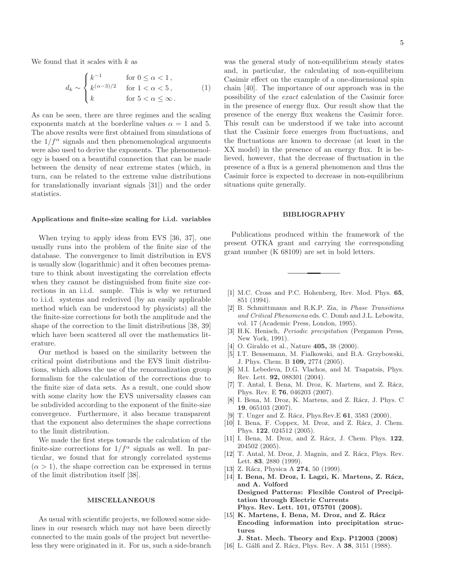We found that it scales with  $k$  as

$$
d_k \sim \begin{cases} k^{-1} & \text{for } 0 \le \alpha < 1, \\ k^{(\alpha - 3)/2} & \text{for } 1 < \alpha < 5, \\ k & \text{for } 5 < \alpha \le \infty \end{cases} \tag{1}
$$

As can be seen, there are three regimes and the scaling exponents match at the borderline values  $\alpha = 1$  and 5. The above results were first obtained from simulations of the  $1/f^{\alpha}$  signals and then phenomenological arguments were also used to derive the exponents. The phenomenology is based on a beautiful connection that can be made between the density of near extreme states (which, in turn, can be related to the extreme value distributions for translationally invariant signals [31]) and the order statistics.

#### Applications and finite-size scaling for i.i.d. variables

When trying to apply ideas from EVS [36, 37], one usually runs into the problem of the finite size of the database. The convergence to limit distribution in EVS is usually slow (logarithmic) and it often becomes premature to think about investigating the correlation effects when they cannot be distinguished from finite size corrections in an i.i.d. sample. This is why we returned to i.i.d. systems and rederived (by an easily applicable method which can be understood by physicists) all the the finite-size corrections for both the amplitude and the shape of the correction to the limit distributions [38, 39] which have been scattered all over the mathematics literature.

Our method is based on the similarity between the critical point distributions and the EVS limit distributions, which allows the use of the renormalization group formalism for the calculation of the corrections due to the finite size of data sets. As a result, one could show with some clarity how the EVS universality classes can be subdivided according to the exponent of the finite-size convergence. Furthermore, it also became transparent that the exponent also determines the shape corrections to the limit distribution.

We made the first steps towards the calculation of the finite-size corrections for  $1/f^{\alpha}$  signals as well. In particular, we found that for strongly correlated systems  $(\alpha > 1)$ , the shape correction can be expressed in terms of the limit distribution itself [38].

## MISCELLANEOUS

As usual with scientific projects, we followed some sidelines in our research which may not have been directly connected to the main goals of the project but nevertheless they were originated in it. For us, such a side-branch 5

was the general study of non-equilibrium steady states and, in particular, the calculating of non-equilibrium Casimir effect on the example of a one-dimensional spin chain [40]. The importance of our approach was in the possibility of the *exact* calculation of the Casimir force in the presence of energy flux. Our result show that the presence of the energy flux weakens the Casimir force. This result can be understood if we take into account that the Casimir force emerges from fluctuations, and the fluctuations are known to decrease (at least in the XX model) in the presence of an energy flux. It is believed, however, that the decrease of fluctuation in the presence of a flux is a general phenomenon and thus the Casimir force is expected to decrease in non-equilibrium situations quite generally.

#### BIBLIOGRAPHY

Publications produced within the framework of the present OTKA grant and carrying the corresponding grant number (K 68109) are set in bold letters.

- [1] M.C. Cross and P.C. Hohenberg, Rev. Mod. Phys. 65, 851 (1994).
- [2] B. Schmittmann and R.K.P. Zia, in Phase Transitions and Critical Phenomena eds. C. Domb and J.L. Lebowitz, vol. 17 (Academic Press, London, 1995).
- [3] H.K. Henisch, Periodic precipitation (Pergamon Press, New York, 1991).
- [4] O. Giraldo et al., Nature **405**, 38 (2000).
- [5] I.T. Bensemann, M. Fialkowski, and B.A. Grzybowski, J. Phys. Chem. B 109, 2774 (2005).
- [6] M.I. Lebedeva, D.G. Vlachos, and M. Tsapatsis, Phys. Rev. Lett. 92, 088301 (2004).
- [7] T. Antal, I. Bena, M. Droz, K. Martens, and Z. Rácz, Phys. Rev. E 76, 046203 (2007).
- [8] I. Bena, M. Droz, K. Martens, and Z. Rácz, J. Phys. C 19, 065103 (2007).
- [9] T. Unger and Z. Rácz, Phys.Rev.E 61, 3583 (2000).
- [10] I. Bena, F. Coppex, M. Droz, and Z. Rácz, J. Chem. Phys. 122, 024512 (2005).
- [11] I. Bena, M. Droz, and Z. Rácz, J. Chem. Phys. 122, 204502 (2005).
- [12] T. Antal, M. Droz, J. Magnin, and Z. Rácz, Phys. Rev. Lett. 83, 2880 (1999).
- [13] Z. Rácz, Physica A  $274$ , 50 (1999).
- [14] I. Bena, M. Droz, I. Lagzi, K. Martens, Z. Rácz, and A. Volford Designed Patterns: Flexible Control of Precipitation through Electric Currents Phys. Rev. Lett. 101, 075701 (2008).
- [15] K. Martens, I. Bena, M. Droz, and Z. Rácz Encoding information into precipitation structures
	- J. Stat. Mech. Theory and Exp. P12003 (2008)
- [16] L. Gálfi and Z. Rácz, Phys. Rev. A 38, 3151 (1988).